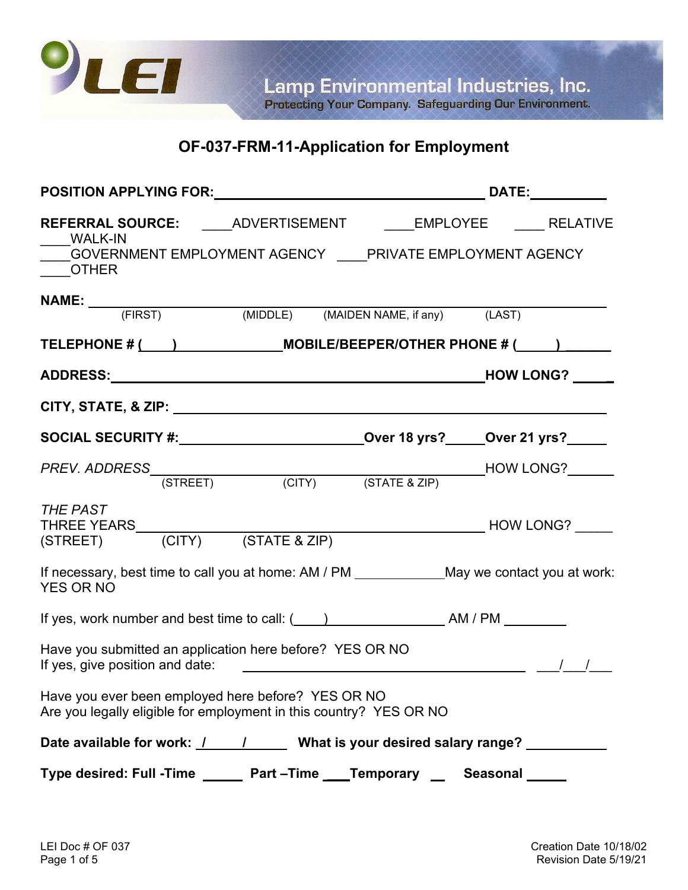

## **OF-037-FRM-11-Application for Employment**

| POSITION APPLYING FOR: DATE: DATE: DATE:                                                                                                                                                                                      |  |
|-------------------------------------------------------------------------------------------------------------------------------------------------------------------------------------------------------------------------------|--|
| REFERRAL SOURCE: _____ADVERTISEMENT _____EMPLOYEE _____ RELATIVE<br>WALK-IN<br>GOVERNMENT EMPLOYMENT AGENCY PRIVATE EMPLOYMENT AGENCY<br>OTHER                                                                                |  |
| <b>NAME:</b><br>(FIRST) (MIDDLE) (MAIDEN NAME, if any) (LAST)                                                                                                                                                                 |  |
| TELEPHONE # ( ) MOBILE/BEEPER/OTHER PHONE # ( )                                                                                                                                                                               |  |
|                                                                                                                                                                                                                               |  |
|                                                                                                                                                                                                                               |  |
| SOCIAL SECURITY #: ____________________________Over 18 yrs?_____Over 21 yrs?_____                                                                                                                                             |  |
|                                                                                                                                                                                                                               |  |
| <b>THE PAST</b><br>THREE YEARS<br>(STREET) (CITY) (STATE & ZIP)                                                                                                                                                               |  |
| If necessary, best time to call you at home: AM / PM _____________May we contact you at work:<br><b>YES OR NO</b>                                                                                                             |  |
| If yes, work number and best time to call: ( (iii) (and a second best time to call: ( and a second best time to call: ( and a second best time to call: ( and a second best time to call: ( and a second best time to call: ( |  |
| Have you submitted an application here before? YES OR NO<br>If yes, give position and date: $\sqrt{2\pi}$ and $\sqrt{2\pi}$ and $\sqrt{2\pi}$ and $\sqrt{2\pi}$ and $\sqrt{2\pi}$ and $\sqrt{2\pi}$                           |  |
| Have you ever been employed here before? YES OR NO<br>Are you legally eligible for employment in this country? YES OR NO                                                                                                      |  |
| Date available for work: / / / / / What is your desired salary range? __________                                                                                                                                              |  |
| Type desired: Full -Time _______ Part -Time ____Temporary ___ Seasonal _____                                                                                                                                                  |  |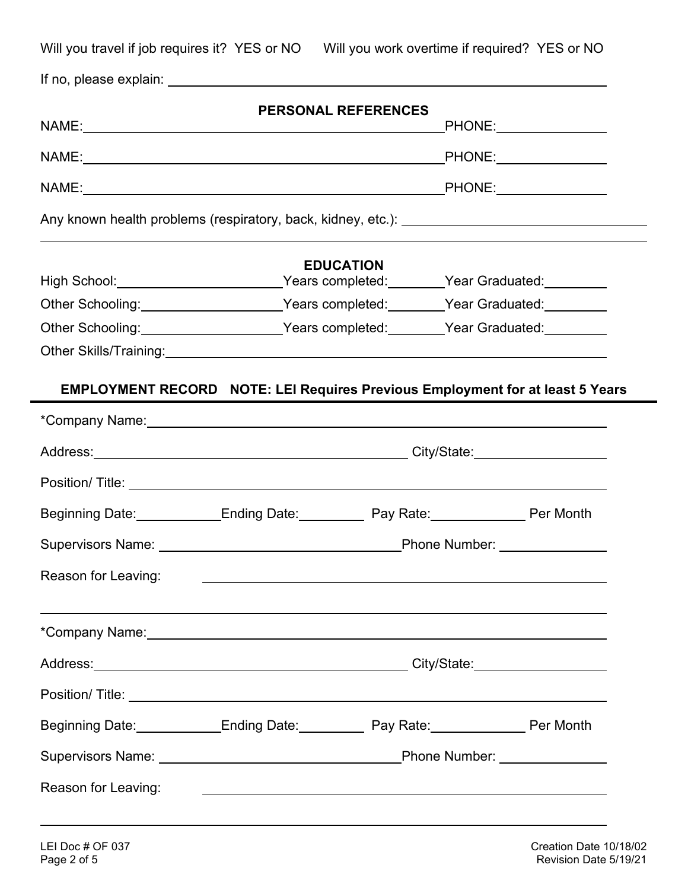|                     |                                                                                                                        | <b>PERSONAL REFERENCES</b> |  |
|---------------------|------------------------------------------------------------------------------------------------------------------------|----------------------------|--|
|                     |                                                                                                                        |                            |  |
|                     |                                                                                                                        |                            |  |
|                     |                                                                                                                        |                            |  |
|                     |                                                                                                                        | <b>EDUCATION</b>           |  |
|                     | High School: __________________________Years completed: _______Year Graduated: ________                                |                            |  |
|                     | Other Schooling: ______________________Years completed: _______Year Graduated: ________                                |                            |  |
|                     | Other Schooling: _____________________Years completed: _______Year Graduated: ________                                 |                            |  |
|                     |                                                                                                                        |                            |  |
|                     | <b>EMPLOYMENT RECORD NOTE: LEI Requires Previous Employment for at least 5 Years</b>                                   |                            |  |
|                     |                                                                                                                        |                            |  |
|                     |                                                                                                                        |                            |  |
|                     | Address: City/State: City/State: City/State:                                                                           |                            |  |
|                     |                                                                                                                        |                            |  |
|                     | Beginning Date: Ending Date: Pay Rate: Pay Rate: Per Month                                                             |                            |  |
|                     |                                                                                                                        |                            |  |
| Reason for Leaving: | <u> 1980 - Johann Stoff, deutscher Stoffen und der Stoffen und der Stoffen und der Stoffen und der Stoffen und der</u> |                            |  |
|                     |                                                                                                                        |                            |  |
|                     |                                                                                                                        |                            |  |
|                     |                                                                                                                        |                            |  |
|                     | Beginning Date: Ending Date: Pay Rate: Pay Rate: Per Month                                                             |                            |  |
|                     |                                                                                                                        |                            |  |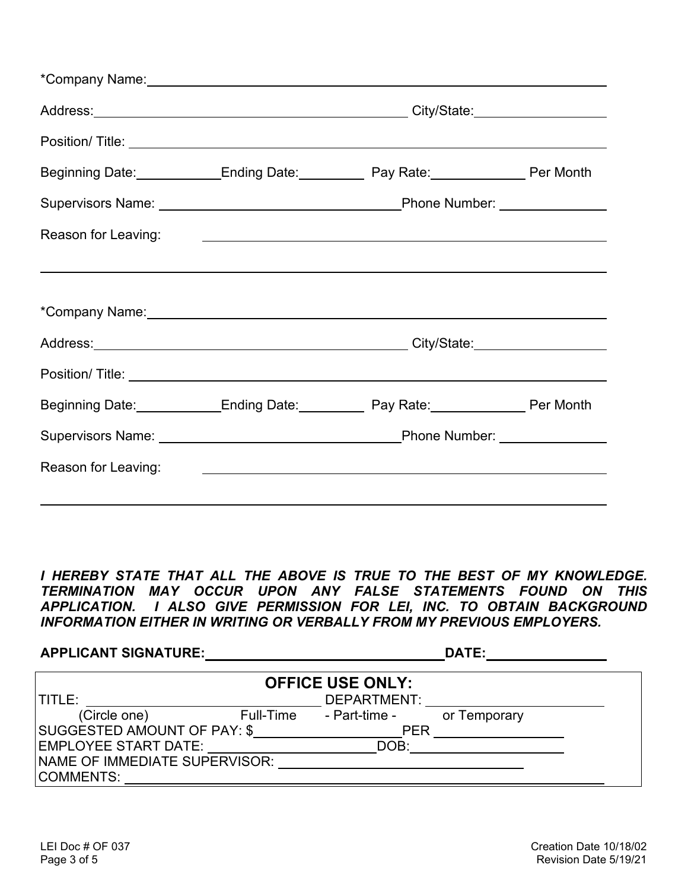|                     | Position/ Title: <u>Lateral Account</u> Contract Contract Contract Contract Contract Contract Contract Contract Contract Contract Contract Contract Contract Contract Contract Contract Contract Contract Contract Contract Contrac  |  |
|---------------------|--------------------------------------------------------------------------------------------------------------------------------------------------------------------------------------------------------------------------------------|--|
|                     | Beginning Date: Ending Date: Pay Rate: Pay Rate: Per Month                                                                                                                                                                           |  |
|                     |                                                                                                                                                                                                                                      |  |
| Reason for Leaving: | <u> 1980 - Andrea Stationen, Amerikaansk politiker (* 1980)</u>                                                                                                                                                                      |  |
|                     |                                                                                                                                                                                                                                      |  |
|                     | *Company Name: <u>www.company.com and the set of the set of the set of the set of the set of the set of the set of the set of the set of the set of the set of the set of the set of the set of the set of the set of the set of</u> |  |
|                     |                                                                                                                                                                                                                                      |  |
|                     |                                                                                                                                                                                                                                      |  |
|                     | Beginning Date: Ending Date: Pay Rate: Pay Rate: Per Month                                                                                                                                                                           |  |
|                     |                                                                                                                                                                                                                                      |  |
| Reason for Leaving: | <u> 1980 - Johann Stoff, amerikansk politiker (d. 1980)</u>                                                                                                                                                                          |  |
|                     |                                                                                                                                                                                                                                      |  |

*I HEREBY STATE THAT ALL THE ABOVE IS TRUE TO THE BEST OF MY KNOWLEDGE. TERMINATION MAY OCCUR UPON ANY FALSE STATEMENTS FOUND ON THIS APPLICATION. I ALSO GIVE PERMISSION FOR LEI, INC. TO OBTAIN BACKGROUND INFORMATION EITHER IN WRITING OR VERBALLY FROM MY PREVIOUS EMPLOYERS.* 

| <b>APPLICANT SIGNATURE:</b>        |           |               | DATE:        |  |
|------------------------------------|-----------|---------------|--------------|--|
| <b>OFFICE USE ONLY:</b>            |           |               |              |  |
| <b>TITLE:</b>                      |           | DEPARTMENT:   |              |  |
| (Circle one)                       | Full-Time | - Part-time - | or Temporary |  |
| <b>SUGGESTED AMOUNT OF PAY: \$</b> |           | <b>PER</b>    |              |  |
| <b>EMPLOYEE START DATE:</b>        |           | DOB:          |              |  |
| NAME OF IMMEDIATE SUPERVISOR:      |           |               |              |  |
| COMMENTS:                          |           |               |              |  |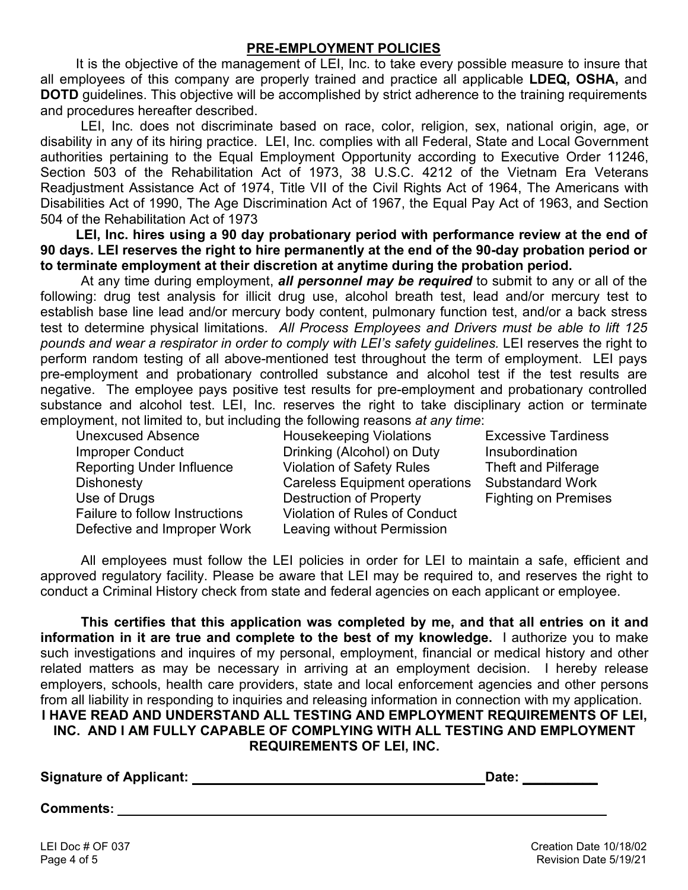## **PRE-EMPLOYMENT POLICIES**

It is the objective of the management of LEI, Inc. to take every possible measure to insure that all employees of this company are properly trained and practice all applicable **LDEQ, OSHA,** and **DOTD** guidelines. This objective will be accomplished by strict adherence to the training requirements and procedures hereafter described.

LEI, Inc. does not discriminate based on race, color, religion, sex, national origin, age, or disability in any of its hiring practice. LEI, Inc. complies with all Federal, State and Local Government authorities pertaining to the Equal Employment Opportunity according to Executive Order 11246, Section 503 of the Rehabilitation Act of 1973, 38 U.S.C. 4212 of the Vietnam Era Veterans Readjustment Assistance Act of 1974, Title VII of the Civil Rights Act of 1964, The Americans with Disabilities Act of 1990, The Age Discrimination Act of 1967, the Equal Pay Act of 1963, and Section 504 of the Rehabilitation Act of 1973

**LEI, Inc. hires using a 90 day probationary period with performance review at the end of 90 days. LEI reserves the right to hire permanently at the end of the 90-day probation period or to terminate employment at their discretion at anytime during the probation period.**

At any time during employment, *all personnel may be required* to submit to any or all of the following: drug test analysis for illicit drug use, alcohol breath test, lead and/or mercury test to establish base line lead and/or mercury body content, pulmonary function test, and/or a back stress test to determine physical limitations. *All Process Employees and Drivers must be able to lift 125 pounds and wear a respirator in order to comply with LEI's safety guidelines.* LEI reserves the right to perform random testing of all above-mentioned test throughout the term of employment. LEI pays pre-employment and probationary controlled substance and alcohol test if the test results are negative. The employee pays positive test results for pre-employment and probationary controlled substance and alcohol test. LEI, Inc. reserves the right to take disciplinary action or terminate employment, not limited to, but including the following reasons *at any time*:

| Unexcused Absence                     |
|---------------------------------------|
| <b>Improper Conduct</b>               |
| <b>Reporting Under Influence</b>      |
| <b>Dishonesty</b>                     |
| Use of Drugs                          |
| <b>Failure to follow Instructions</b> |
| Defective and Improper Work           |

Housekeeping Violations Excessive Tardiness Drinking (Alcohol) on Duty Insubordination Violation of Safety Rules Theft and Pilferage Careless Equipment operations Substandard Work Destruction of Property Fighting on Premises Violation of Rules of Conduct Leaving without Permission

All employees must follow the LEI policies in order for LEI to maintain a safe, efficient and approved regulatory facility. Please be aware that LEI may be required to, and reserves the right to conduct a Criminal History check from state and federal agencies on each applicant or employee.

**This certifies that this application was completed by me, and that all entries on it and information in it are true and complete to the best of my knowledge.** I authorize you to make such investigations and inquires of my personal, employment, financial or medical history and other related matters as may be necessary in arriving at an employment decision. I hereby release employers, schools, health care providers, state and local enforcement agencies and other persons from all liability in responding to inquiries and releasing information in connection with my application. **I HAVE READ AND UNDERSTAND ALL TESTING AND EMPLOYMENT REQUIREMENTS OF LEI, INC. AND I AM FULLY CAPABLE OF COMPLYING WITH ALL TESTING AND EMPLOYMENT REQUIREMENTS OF LEI, INC.**

| <b>Signature of Applicant: _</b> |  |
|----------------------------------|--|
|                                  |  |

**Date: \_\_\_\_\_\_\_\_\_** 

**Comments:**